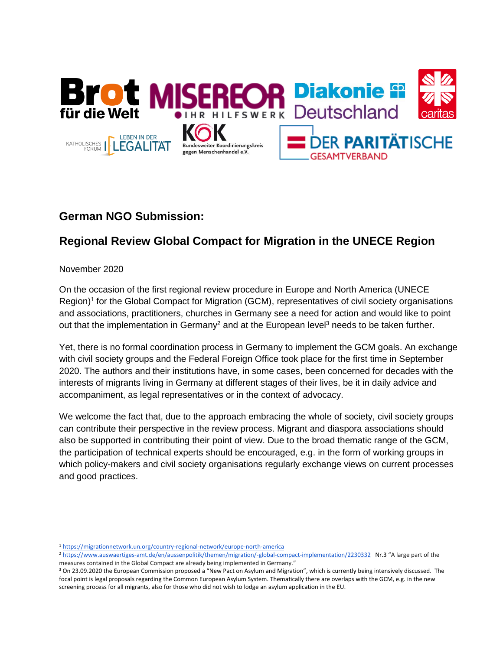

# **German NGO Submission:**

# **Regional Review Global Compact for Migration in the UNECE Region**

November 2020

 $\overline{a}$ 

On the occasion of the first regional review procedure in Europe and North America (UNECE Region)<sup>1</sup> for the Global Compact for Migration (GCM), representatives of civil society organisations and associations, practitioners, churches in Germany see a need for action and would like to point out that the implementation in Germany<sup>2</sup> and at the European level<sup>3</sup> needs to be taken further.

Yet, there is no formal coordination process in Germany to implement the GCM goals. An exchange with civil society groups and the Federal Foreign Office took place for the first time in September 2020. The authors and their institutions have, in some cases, been concerned for decades with the interests of migrants living in Germany at different stages of their lives, be it in daily advice and accompaniment, as legal representatives or in the context of advocacy.

We welcome the fact that, due to the approach embracing the whole of society, civil society groups can contribute their perspective in the review process. Migrant and diaspora associations should also be supported in contributing their point of view. Due to the broad thematic range of the GCM, the participation of technical experts should be encouraged, e.g. in the form of working groups in which policy-makers and civil society organisations regularly exchange views on current processes and good practices.

<sup>1</sup> <https://migrationnetwork.un.org/country-regional-network/europe-north-america>

<sup>2</sup> <https://www.auswaertiges-amt.de/en/aussenpolitik/themen/migration/-global-compact-implementation/2230332>Nr.3 "A large part of the measures contained in the Global Compact are already being implemented in Germany."

<sup>&</sup>lt;sup>3</sup> On 23.09.2020 the European Commission proposed a "New Pact on Asylum and Migration", which is currently being intensively discussed. The focal point is legal proposals regarding the Common European Asylum System. Thematically there are overlaps with the GCM, e.g. in the new screening process for all migrants, also for those who did not wish to lodge an asylum application in the EU.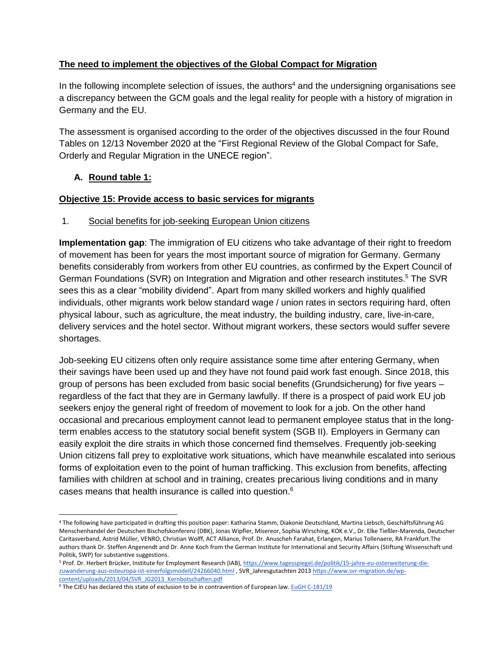### **The need to implement the objectives of the Global Compact for Migration**

In the following incomplete selection of issues, the authors<sup>4</sup> and the undersigning organisations see a discrepancy between the GCM goals and the legal reality for people with a history of migration in Germany and the EU.

The assessment is organised according to the order of the objectives discussed in the four Round Tables on 12/13 November 2020 at the "First Regional Review of the Global Compact for Safe, Orderly and Regular Migration in the UNECE region".

#### **A. Round table 1:**

#### **Objective 15: Provide access to basic services for migrants**

#### 1. Social benefits for job-seeking European Union citizens

**Implementation gap**: The immigration of EU citizens who take advantage of their right to freedom of movement has been for years the most important source of migration for Germany. Germany benefits considerably from workers from other EU countries, as confirmed by the Expert Council of German Foundations (SVR) on Integration and Migration and other research institutes.<sup>5</sup> The SVR sees this as a clear "mobility dividend". Apart from many skilled workers and highly qualified individuals, other migrants work below standard wage / union rates in sectors requiring hard, often physical labour, such as agriculture, the meat industry, the building industry, care, live-in-care, delivery services and the hotel sector. Without migrant workers, these sectors would suffer severe shortages.

Job-seeking EU citizens often only require assistance some time after entering Germany, when their savings have been used up and they have not found paid work fast enough. Since 2018, this group of persons has been excluded from basic social benefits (Grundsicherung) for five years – regardless of the fact that they are in Germany lawfully. If there is a prospect of paid work EU job seekers enjoy the general right of freedom of movement to look for a job. On the other hand occasional and precarious employment cannot lead to permanent employee status that in the longterm enables access to the statutory social benefit system (SGB II). Employers in Germany can easily exploit the dire straits in which those concerned find themselves. Frequently job-seeking Union citizens fall prey to exploitative work situations, which have meanwhile escalated into serious forms of exploitation even to the point of human trafficking. This exclusion from benefits, affecting families with children at school and in training, creates precarious living conditions and in many cases means that health insurance is called into question. 6

<sup>4</sup> The following have participated in drafting this position paper: Katharina Stamm, Diakonie Deutschland, Martina Liebsch, Geschäftsführung AG Menschenhandel der Deutschen Bischofskonferenz (DBK), Jonas Wipfler, Misereor, Sophia Wirsching, KOK e.V., Dr. Elke Tießler-Marenda, Deutscher Caritasverband, Astrid Müller, VENRO, Christian Wolff, ACT Alliance, Prof. Dr. Anuscheh Farahat, Erlangen, Marius Tollenaere, RA Frankfurt.The authors thank Dr. Steffen Angenendt and Dr. Anne Koch from the German Institute for International and Security Affairs (Stiftung Wissenschaft und Politik, SWP) for substantive suggestions.

<sup>5</sup> Prof. Dr. Herbert Brücker, Institute for Employment Research (IAB)[, https://www.tagesspiegel.de/politik/15-jahre-eu-osterweiterung-die](https://www.tagesspiegel.de/politik/15-jahre-eu-osterweiterung-die-zuwanderung-aus-osteuropa-ist-einerfolgsmodell/24266040.html)[zuwanderung-aus-osteuropa-ist-einerfolgsmodell/24266040.html](https://www.tagesspiegel.de/politik/15-jahre-eu-osterweiterung-die-zuwanderung-aus-osteuropa-ist-einerfolgsmodell/24266040.html) , SVR\_Jahresgutachten 2013 [https://www.svr-migration.de/wp](https://www.svr-migration.de/wp-content/uploads/2013/04/SVR_JG2013_Kernbotschaften.pdf)[content/uploads/2013/04/SVR\\_JG2013\\_Kernbotschaften.pdf](https://www.svr-migration.de/wp-content/uploads/2013/04/SVR_JG2013_Kernbotschaften.pdf)

<sup>&</sup>lt;sup>6</sup> The CJEU has declared this state of exclusion to be in contravention of European la[w.](https://curia.europa.eu/jcms/upload/docs/application/pdf/2020-10/cp200126de.pdf) [EuGH C-181/19](https://curia.europa.eu/jcms/upload/docs/application/pdf/2020-10/cp200126de.pdf)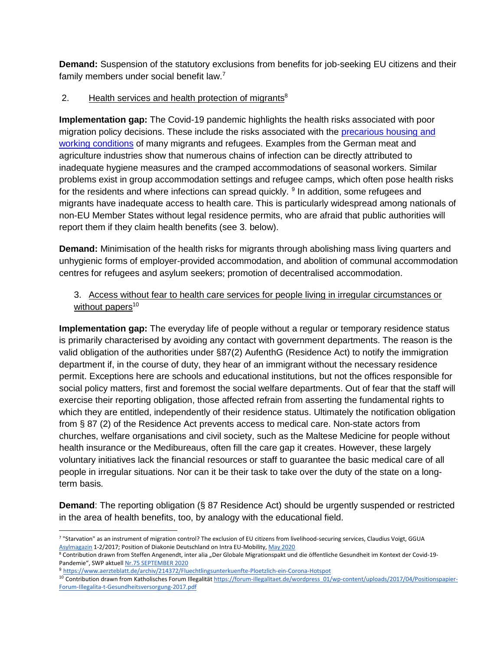**Demand:** Suspension of the statutory exclusions from benefits for job-seeking EU citizens and their family members under social benefit law.<sup>7</sup>

## 2. Health services and health protection of migrants<sup>8</sup>

**Implementation gap:** The Covid-19 pandemic highlights the health risks associated with poor migration policy decisions. These include the risks associated with the [precarious housing and](https://publications.iom.int/system/files/pdf/mrs-60.pdf)  [working conditions](https://publications.iom.int/system/files/pdf/mrs-60.pdf) of many migrants and refugees. Examples from the German meat and agriculture industries show that numerous chains of infection can be directly attributed to inadequate hygiene measures and the cramped accommodations of seasonal workers. Similar problems exist in group accommodation settings and refugee camps, which often pose health risks for the residents and where infections can spread quickly. <sup>9</sup> In addition, some refugees and migrants have inadequate access to health care. This is particularly widespread among nationals of non-EU Member States without legal residence permits, who are afraid that public authorities will report them if they claim health benefits (see 3. below).

**Demand:** Minimisation of the health risks for migrants through abolishing mass living quarters and unhygienic forms of employer-provided accommodation, and abolition of communal accommodation centres for refugees and asylum seekers; promotion of decentralised accommodation.

## 3. Access without fear to health care services for people living in irregular circumstances or without papers $10$

**Implementation gap:** The everyday life of people without a regular or temporary residence status is primarily characterised by avoiding any contact with government departments. The reason is the valid obligation of the authorities under §87(2) AufenthG (Residence Act) to notify the immigration department if, in the course of duty, they hear of an immigrant without the necessary residence permit. Exceptions here are schools and educational institutions, but not the offices responsible for social policy matters, first and foremost the social welfare departments. Out of fear that the staff will exercise their reporting obligation, those affected refrain from asserting the fundamental rights to which they are entitled, independently of their residence status. Ultimately the notification obligation from § 87 (2) of the Residence Act prevents access to medical care. Non-state actors from churches, welfare organisations and civil society, such as the Maltese Medicine for people without health insurance or the Medibureaus, often fill the care gap it creates. However, these largely voluntary initiatives lack the financial resources or staff to guarantee the basic medical care of all people in irregular situations. Nor can it be their task to take over the duty of the state on a longterm basis.

**Demand:** The reporting obligation (§ 87 Residence Act) should be urgently suspended or restricted in the area of health benefits, too, by analogy with the educational field.

 $\overline{a}$ 7 "Starvation" as an instrument of migration control? The exclusion of EU citizens from livelihood-securing services, Claudius Voigt, GGU[A](https://www.asyl.net/fileadmin/user_upload/publikationen/Asylmagazin/AM17-1-2_beitrag_voigt.pdf) [Asylmagazin](https://www.asyl.net/fileadmin/user_upload/publikationen/Asylmagazin/AM17-1-2_beitrag_voigt.pdf) 1-2/2017; Position of Diakonie Deutschland on Intra EU-Mobilit[y,](https://www.diakonie.de/fileadmin/user_upload/Diakonie_Position_zur_EU-Binnenmobilitaet_Mai_2020.pdf) May [2020](https://www.diakonie.de/fileadmin/user_upload/Diakonie_Position_zur_EU-Binnenmobilitaet_Mai_2020.pdf)

<sup>8</sup> Contribution drawn from Steffen Angenendt, inter alia "Der Globale Migrationspakt und die öffentliche Gesundheit im Kontext der Covid-19-Pandemie", SWP aktuell [Nr.75 SEPTEMBER 2020](https://www.swp-berlin.org/fileadmin/contents/products/aktuell/2020A75_MigrationspaktCorona.pdf)

<sup>9</sup> <https://www.aerzteblatt.de/archiv/214372/Fluechtlingsunterkuenfte-Ploetzlich-ein-Corona-Hotspot>

<sup>&</sup>lt;sup>10</sup> Con[t](https://forum-illegalitaet.de/wordpress_01/wp-content/uploads/2017/04/Positionspapier-Forum-Illegalita-t-Gesundheitsversorgung-2017.pdf)ribution drawn from Katholisches Forum Illegalität [https://forum-illegalitaet.de/wordpress\\_01/wp-content/uploads/2017/04/Positionspapier-](https://forum-illegalitaet.de/wordpress_01/wp-content/uploads/2017/04/Positionspapier-Forum-Illegalita-t-Gesundheitsversorgung-2017.pdf)[Forum-Illegalita-t-Gesundheitsversorgung-2017.pdf](https://forum-illegalitaet.de/wordpress_01/wp-content/uploads/2017/04/Positionspapier-Forum-Illegalita-t-Gesundheitsversorgung-2017.pdf)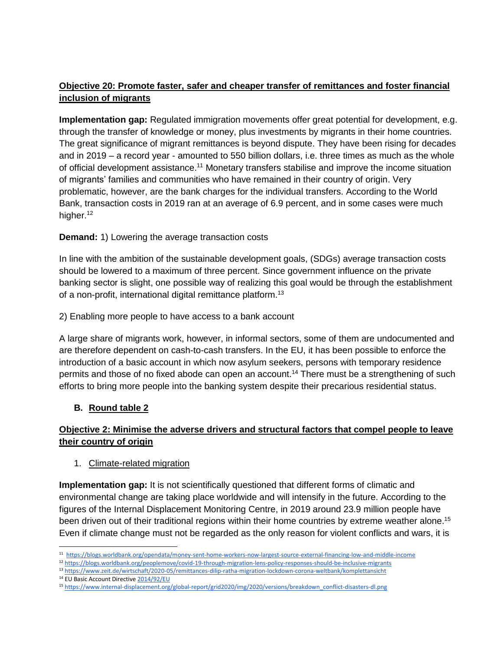# **Objective 20: Promote faster, safer and cheaper transfer of remittances and foster financial inclusion of migrants**

**Implementation gap:** Regulated immigration movements offer great potential for development, e.g. through the transfer of knowledge or money, plus investments by migrants in their home countries. The great significance of migrant remittances is beyond dispute. They have been rising for decades and in 2019 – a record year - amounted to 550 billion dollars, i.e. three times as much as the whole of official development assistance.<sup>11</sup> Monetary transfers stabilise and improve the income situation of migrants' families and communities who have remained in their country of origin. Very problematic, however, are the bank charges for the individual transfers. According to the World Bank, transaction costs in 2019 ran at an average of 6.9 percent, and in some cases were much higher.<sup>12</sup>

#### **Demand:** 1) Lowering the average transaction costs

In line with the ambition of the sustainable development goals, (SDGs) average transaction costs should be lowered to a maximum of three percent. Since government influence on the private banking sector is slight, one possible way of realizing this goal would be through the establishment of a non-profit, international digital remittance platform.<sup>13</sup>

2) Enabling more people to have access to a bank account

A large share of migrants work, however, in informal sectors, some of them are undocumented and are therefore dependent on cash-to-cash transfers. In the EU, it has been possible to enforce the introduction of a basic account in which now asylum seekers, persons with temporary residence permits and those of no fixed abode can open an account. <sup>14</sup> There must be a strengthening of such efforts to bring more people into the banking system despite their precarious residential status.

#### **B. Round table 2**

# **Objective 2: Minimise the adverse drivers and structural factors that compel people to leave their country of origin**

#### 1. Climate-related migration

**Implementation gap:** It is not scientifically questioned that different forms of climatic and environmental change are taking place worldwide and will intensify in the future. According to the figures of the Internal Displacement Monitoring Centre, in 2019 around 23.9 million people have been driven out of their traditional regions within their home countries by extreme weather alone.<sup>15</sup> Even if climate change must not be regarded as the only reason for violent conflicts and wars, it is

 $\overline{a}$ <sup>11</sup> <https://blogs.worldbank.org/opendata/money-sent-home-workers-now-largest-source-external-financing-low-and-middle-income>

<sup>12</sup> <https://blogs.worldbank.org/peoplemove/covid-19-through-migration-lens-policy-responses-should-be-inclusive-migrants>

<sup>13</sup> <https://www.zeit.de/wirtschaft/2020-05/remittances-dilip-ratha-migration-lockdown-corona-weltbank/komplettansicht>

<sup>14</sup> EU Basic Account Directive [2014/92/EU](https://eur-lex.europa.eu/legal-content/DE/TXT/?uri=CELEX:32014L0092)

<sup>15</sup> [https://www.internal-displacement.org/global-report/grid2020/img/2020/versions/breakdown\\_conflict-disasters-dl.png](https://www.internal-displacement.org/global-report/grid2020/img/2020/versions/breakdown_conflict-disasters-dl.png)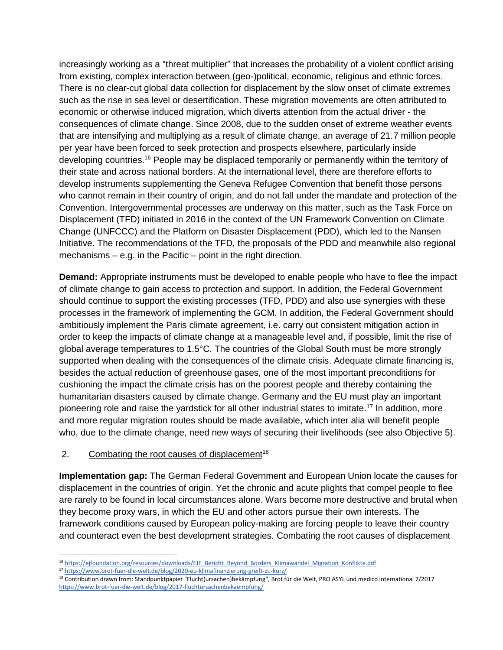increasingly working as a "threat multiplier" that increases the probability of a violent conflict arising from existing, complex interaction between (geo-)political, economic, religious and ethnic forces. There is no clear-cut global data collection for displacement by the slow onset of climate extremes such as the rise in sea level or desertification. These migration movements are often attributed to economic or otherwise induced migration, which diverts attention from the actual driver - the consequences of climate change. Since 2008, due to the sudden onset of extreme weather events that are intensifying and multiplying as a result of climate change, an average of 21.7 million people per year have been forced to seek protection and prospects elsewhere, particularly inside developing countries.<sup>16</sup> People may be displaced temporarily or permanently within the territory of their state and across national borders. At the international level, there are therefore efforts to develop instruments supplementing the Geneva Refugee Convention that benefit those persons who cannot remain in their country of origin, and do not fall under the mandate and protection of the Convention. Intergovernmental processes are underway on this matter, such as the Task Force on Displacement (TFD) initiated in 2016 in the context of the UN Framework Convention on Climate Change (UNFCCC) and the Platform on Disaster Displacement (PDD), which led to the Nansen Initiative. The recommendations of the TFD, the proposals of the PDD and meanwhile also regional mechanisms – e.g. in the Pacific – point in the right direction.

**Demand:** Appropriate instruments must be developed to enable people who have to flee the impact of climate change to gain access to protection and support. In addition, the Federal Government should continue to support the existing processes (TFD, PDD) and also use synergies with these processes in the framework of implementing the GCM. In addition, the Federal Government should ambitiously implement the Paris climate agreement, i.e. carry out consistent mitigation action in order to keep the impacts of climate change at a manageable level and, if possible, limit the rise of global average temperatures to 1.5°C. The countries of the Global South must be more strongly supported when dealing with the consequences of the climate crisis. Adequate climate financing is, besides the actual reduction of greenhouse gases, one of the most important preconditions for cushioning the impact the climate crisis has on the poorest people and thereby containing the humanitarian disasters caused by climate change. Germany and the EU must play an important pioneering role and raise the yardstick for all other industrial states to imitate. <sup>17</sup> In addition, more and more regular migration routes should be made available, which inter alia will benefit people who, due to the climate change, need new ways of securing their livelihoods (see also Objective 5).

#### 2. Combating the root causes of displacement<sup>18</sup>

**Implementation gap:** The German Federal Government and European Union locate the causes for displacement in the countries of origin. Yet the chronic and acute plights that compel people to flee are rarely to be found in local circumstances alone. Wars become more destructive and brutal when they become proxy wars, in which the EU and other actors pursue their own interests. The framework conditions caused by European policy-making are forcing people to leave their country and counteract even the best development strategies. Combating the root causes of displacement

 $\overline{a}$ 16 [https://ejfoundation.org/resources/downloads/EJF\\_Bericht\\_Beyond\\_Borders\\_Klimawandel\\_Migration\\_Konflikte.pdf](https://ejfoundation.org/resources/downloads/EJF_Bericht_Beyond_Borders_Klimawandel_Migration_Konflikte.pdf)

<sup>17</sup> <https://www.brot-fuer-die-welt.de/blog/2020-eu-klimafinanzierung-greift-zu-kurz/>

<sup>18</sup> Contribution drawn from: Standpunktpapier "Flucht(ursachen)bekämpfung", Brot für die Welt, PRO ASYL und medico international 7/2017 <https://www.brot-fuer-die-welt.de/blog/2017-fluchtursachenbekaempfung/>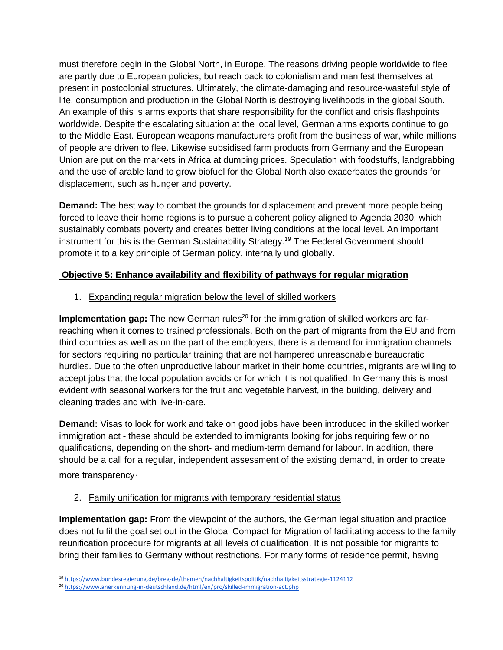must therefore begin in the Global North, in Europe. The reasons driving people worldwide to flee are partly due to European policies, but reach back to colonialism and manifest themselves at present in postcolonial structures. Ultimately, the climate-damaging and resource-wasteful style of life, consumption and production in the Global North is destroying livelihoods in the global South. An example of this is arms exports that share responsibility for the conflict and crisis flashpoints worldwide. Despite the escalating situation at the local level, German arms exports continue to go to the Middle East. European weapons manufacturers profit from the business of war, while millions of people are driven to flee. Likewise subsidised farm products from Germany and the European Union are put on the markets in Africa at dumping prices. Speculation with foodstuffs, landgrabbing and the use of arable land to grow biofuel for the Global North also exacerbates the grounds for displacement, such as hunger and poverty.

**Demand:** The best way to combat the grounds for displacement and prevent more people being forced to leave their home regions is to pursue a coherent policy aligned to Agenda 2030, which sustainably combats poverty and creates better living conditions at the local level. An important instrument for this is the German Sustainability Strategy. <sup>19</sup> The Federal Government should promote it to a key principle of German policy, internally und globally.

# **Objective 5: Enhance availability and flexibility of pathways for regular migration**

1. Expanding regular migration below the level of skilled workers

**Implementation gap:** The new German rules<sup>20</sup> for the immigration of skilled workers are farreaching when it comes to trained professionals. Both on the part of migrants from the EU and from third countries as well as on the part of the employers, there is a demand for immigration channels for sectors requiring no particular training that are not hampered unreasonable bureaucratic hurdles. Due to the often unproductive labour market in their home countries, migrants are willing to accept jobs that the local population avoids or for which it is not qualified. In Germany this is most evident with seasonal workers for the fruit and vegetable harvest, in the building, delivery and cleaning trades and with live-in-care.

**Demand:** Visas to look for work and take on good jobs have been introduced in the skilled worker immigration act - these should be extended to immigrants looking for jobs requiring few or no qualifications, depending on the short- and medium-term demand for labour. In addition, there should be a call for a regular, independent assessment of the existing demand, in order to create more transparency*.*

#### 2. Family unification for migrants with temporary residential status

**Implementation gap:** From the viewpoint of the authors, the German legal situation and practice does not fulfil the goal set out in the Global Compact for Migration of facilitating access to the family reunification procedure for migrants at all levels of qualification. It is not possible for migrants to bring their families to Germany without restrictions. For many forms of residence permit, having

 $\overline{a}$ <sup>19</sup> <https://www.bundesregierung.de/breg-de/themen/nachhaltigkeitspolitik/nachhaltigkeitsstrategie-1124112>

<sup>20</sup> <https://www.anerkennung-in-deutschland.de/html/en/pro/skilled-immigration-act.php>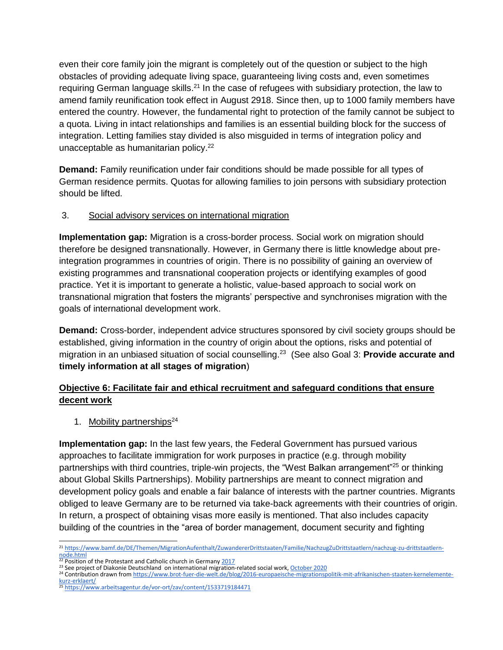even their core family join the migrant is completely out of the question or subject to the high obstacles of providing adequate living space, guaranteeing living costs and, even sometimes requiring German language skills.<sup>21</sup> In the case of refugees with subsidiary protection, the law to amend family reunification took effect in August 2918. Since then, up to 1000 family members have entered the country. However, the fundamental right to protection of the family cannot be subject to a quota. Living in intact relationships and families is an essential building block for the success of integration. Letting families stay divided is also misguided in terms of integration policy and unacceptable as humanitarian policy.<sup>22</sup>

**Demand:** Family reunification under fair conditions should be made possible for all types of German residence permits. Quotas for allowing families to join persons with subsidiary protection should be lifted.

#### 3. Social advisory services on international migration

**Implementation gap:** Migration is a cross-border process. Social work on migration should therefore be designed transnationally. However, in Germany there is little knowledge about preintegration programmes in countries of origin. There is no possibility of gaining an overview of existing programmes and transnational cooperation projects or identifying examples of good practice. Yet it is important to generate a holistic, value-based approach to social work on transnational migration that fosters the migrants' perspective and synchronises migration with the goals of international development work.

**Demand:** Cross-border, independent advice structures sponsored by civil society groups should be established, giving information in the country of origin about the options, risks and potential of migration in an unbiased situation of social counselling. 23 (See also Goal 3: **Provide accurate and timely information at all stages of migration**)

# **Objective 6: Facilitate fair and ethical recruitment and safeguard conditions that ensure decent work**

1. Mobility partnerships $24$ 

**Implementation gap:** In the last few years, the Federal Government has pursued various approaches to facilitate immigration for work purposes in practice (e.g. through mobility partnerships with third countries, triple-win projects, the "West Balkan arrangement"<sup>25</sup> or thinking about Global Skills Partnerships). Mobility partnerships are meant to connect migration and development policy goals and enable a fair balance of interests with the partner countries. Migrants obliged to leave Germany are to be returned via take-back agreements with their countries of origin. In return, a prospect of obtaining visas more easily is mentioned. That also includes capacity building of the countries in the "area of border management, document security and fighting

 <sup>21</sup> [https://www.bamf.de/DE/Themen/MigrationAufenthalt/ZuwandererDrittstaaten/Familie/NachzugZuDrittstaatlern/nachzug-zu-drittstaatlern](https://www.bamf.de/DE/Themen/MigrationAufenthalt/ZuwandererDrittstaaten/Familie/NachzugZuDrittstaatlern/nachzug-zu-drittstaatlern-node.html)[node.html](https://www.bamf.de/DE/Themen/MigrationAufenthalt/ZuwandererDrittstaaten/Familie/NachzugZuDrittstaatlern/nachzug-zu-drittstaatlern-node.html)<br><sup>22</sup> Position of the Protestant and Catholic church in Germany <u>2017</u>

<sup>&</sup>lt;sup>23</sup> See project of Diakonie Deutschland on international migration-related social work, [October 2020](https://www.diakonie.de/journal/projekt-gute-begleitung-und-beratung-bei-migration-von-den-herkunftslaendern-zur-integration-im-zielland)

<sup>&</sup>lt;sup>24</sup> Contribution drawn fro[m](https://www.brot-fuer-die-welt.de/blog/2016-europaeische-migrationspolitik-mit-afrikanischen-staaten-kernelemente-kurz-erklaert/) [https://www.brot-fuer-die-welt.de/blog/2016-europaeische-migrationspolitik-mit-afrikanischen-staaten-kernelemente](https://www.brot-fuer-die-welt.de/blog/2016-europaeische-migrationspolitik-mit-afrikanischen-staaten-kernelemente-kurz-erklaert/)[kurz-erklaert/](https://www.brot-fuer-die-welt.de/blog/2016-europaeische-migrationspolitik-mit-afrikanischen-staaten-kernelemente-kurz-erklaert/)

<sup>&</sup>lt;sup>25</sup> <https://www.arbeitsagentur.de/vor-ort/zav/content/1533719184471>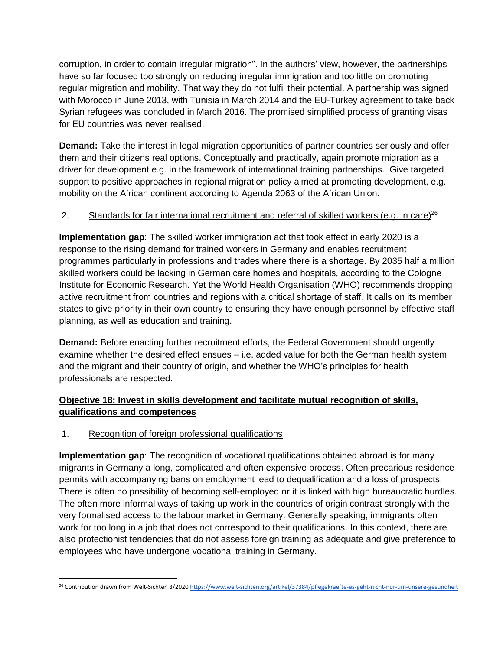corruption, in order to contain irregular migration". In the authors' view, however, the partnerships have so far focused too strongly on reducing irregular immigration and too little on promoting regular migration and mobility. That way they do not fulfil their potential. A partnership was signed with Morocco in June 2013, with Tunisia in March 2014 and the EU-Turkey agreement to take back Syrian refugees was concluded in March 2016. The promised simplified process of granting visas for EU countries was never realised.

**Demand:** Take the interest in legal migration opportunities of partner countries seriously and offer them and their citizens real options. Conceptually and practically, again promote migration as a driver for development e.g. in the framework of international training partnerships. Give targeted support to positive approaches in regional migration policy aimed at promoting development, e.g. mobility on the African continent according to Agenda 2063 of the African Union.

#### 2. Standards for fair international recruitment and referral of skilled workers (e.g. in care)<sup>26</sup>

**Implementation gap**: The skilled worker immigration act that took effect in early 2020 is a response to the rising demand for trained workers in Germany and enables recruitment programmes particularly in professions and trades where there is a shortage. By 2035 half a million skilled workers could be lacking in German care homes and hospitals, according to the Cologne Institute for Economic Research. Yet the World Health Organisation (WHO) recommends dropping active recruitment from countries and regions with a critical shortage of staff. It calls on its member states to give priority in their own country to ensuring they have enough personnel by effective staff planning, as well as education and training.

**Demand:** Before enacting further recruitment efforts, the Federal Government should urgently examine whether the desired effect ensues – i.e. added value for both the German health system and the migrant and their country of origin, and whether the WHO's principles for health professionals are respected.

# **Objective 18: Invest in skills development and facilitate mutual recognition of skills, qualifications and competences**

#### 1. Recognition of foreign professional qualifications

**Implementation gap**: The recognition of vocational qualifications obtained abroad is for many migrants in Germany a long, complicated and often expensive process. Often precarious residence permits with accompanying bans on employment lead to dequalification and a loss of prospects. There is often no possibility of becoming self-employed or it is linked with high bureaucratic hurdles. The often more informal ways of taking up work in the countries of origin contrast strongly with the very formalised access to the labour market in Germany. Generally speaking, immigrants often work for too long in a job that does not correspond to their qualifications. In this context, there are also protectionist tendencies that do not assess foreign training as adequate and give preference to employees who have undergone vocational training in Germany.

 $\overline{a}$ <sup>26</sup> Contribution drawn from Welt-Sichten 3/2[0](https://www.welt-sichten.org/artikel/37384/pflegekraefte-es-geht-nicht-nur-um-unsere-gesundheit)20 <https://www.welt-sichten.org/artikel/37384/pflegekraefte-es-geht-nicht-nur-um-unsere-gesundheit>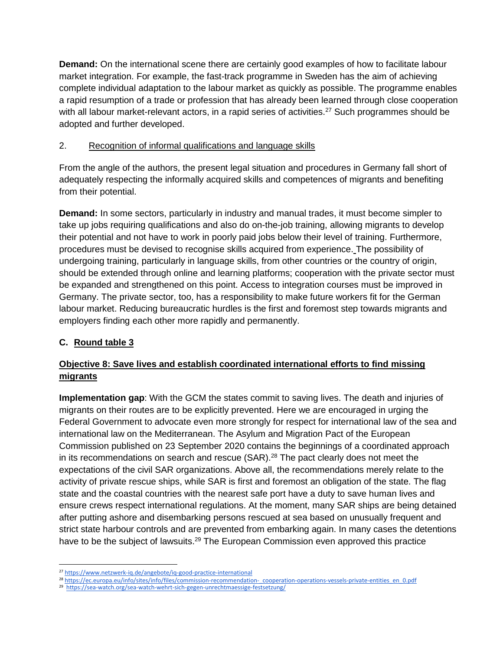**Demand:** On the international scene there are certainly good examples of how to facilitate labour market integration. For example, the fast-track programme in Sweden has the aim of achieving complete individual adaptation to the labour market as quickly as possible. The programme enables a rapid resumption of a trade or profession that has already been learned through close cooperation with all labour market-relevant actors, in a rapid series of activities.<sup>27</sup> Such programmes should be adopted and further developed.

# 2. Recognition of informal qualifications and language skills

From the angle of the authors, the present legal situation and procedures in Germany fall short of adequately respecting the informally acquired skills and competences of migrants and benefiting from their potential.

**Demand:** In some sectors, particularly in industry and manual trades, it must become simpler to take up jobs requiring qualifications and also do on-the-job training, allowing migrants to develop their potential and not have to work in poorly paid jobs below their level of training. Furthermore, procedures must be devised to recognise skills acquired from experience. The possibility of undergoing training, particularly in language skills, from other countries or the country of origin, should be extended through online and learning platforms; cooperation with the private sector must be expanded and strengthened on this point. Access to integration courses must be improved in Germany. The private sector, too, has a responsibility to make future workers fit for the German labour market. Reducing bureaucratic hurdles is the first and foremost step towards migrants and employers finding each other more rapidly and permanently.

# **C. Round table 3**

# **Objective 8: Save lives and establish coordinated international efforts to find missing migrants**

**Implementation gap**: With the GCM the states commit to saving lives. The death and injuries of migrants on their routes are to be explicitly prevented. Here we are encouraged in urging the Federal Government to advocate even more strongly for respect for international law of the sea and international law on the Mediterranean. The Asylum and Migration Pact of the European Commission published on 23 September 2020 contains the beginnings of a coordinated approach in its recommendations on search and rescue (SAR).<sup>28</sup> The pact clearly does not meet the expectations of the civil SAR organizations. Above all, the recommendations merely relate to the activity of private rescue ships, while SAR is first and foremost an obligation of the state. The flag state and the coastal countries with the nearest safe port have a duty to save human lives and ensure crews respect international regulations. At the moment, many SAR ships are being detained after putting ashore and disembarking persons rescued at sea based on unusually frequent and strict state harbour controls and are prevented from embarking again. In many cases the detentions have to be the subject of lawsuits.<sup>29</sup> The European Commission even approved this practice

<sup>27</sup> <https://www.netzwerk-iq.de/angebote/iq-good-practice-international>

<sup>&</sup>lt;sup>28</sup> https://ec.europa.eu/info/sites/info/files/commission-recommendation- cooperation-operations-vessels-private-entities en 0.pdf

<sup>&</sup>lt;sup>29</sup><https://sea-watch.org/sea-watch-wehrt-sich-gegen-unrechtmaessige-festsetzung/>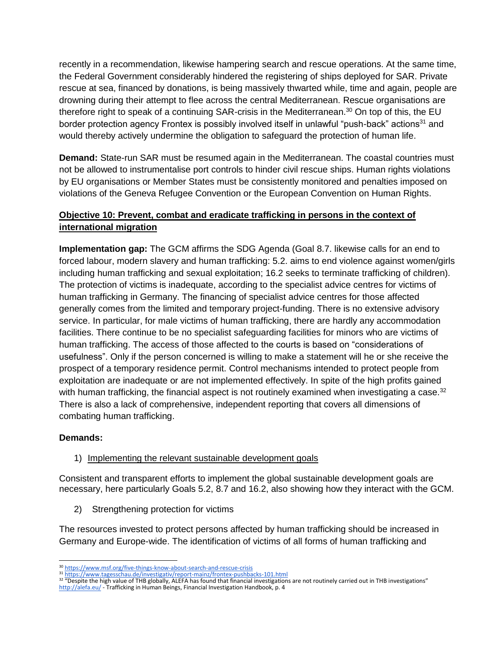recently in a recommendation, likewise hampering search and rescue operations. At the same time, the Federal Government considerably hindered the registering of ships deployed for SAR. Private rescue at sea, financed by donations, is being massively thwarted while, time and again, people are drowning during their attempt to flee across the central Mediterranean. Rescue organisations are therefore right to speak of a continuing SAR-crisis in the Mediterranean.<sup>30</sup> On top of this, the EU border protection agency Frontex is possibly involved itself in unlawful "push-back" actions<sup>31</sup> and would thereby actively undermine the obligation to safeguard the protection of human life.

**Demand:** State-run SAR must be resumed again in the Mediterranean. The coastal countries must not be allowed to instrumentalise port controls to hinder civil rescue ships. Human rights violations by EU organisations or Member States must be consistently monitored and penalties imposed on violations of the Geneva Refugee Convention or the European Convention on Human Rights.

# **Objective 10: Prevent, combat and eradicate trafficking in persons in the context of international migration**

**Implementation gap:** The GCM affirms the SDG Agenda (Goal 8.7. likewise calls for an end to forced labour, modern slavery and human trafficking: 5.2. aims to end violence against women/girls including human trafficking and sexual exploitation; 16.2 seeks to terminate trafficking of children). The protection of victims is inadequate, according to the specialist advice centres for victims of human trafficking in Germany. The financing of specialist advice centres for those affected generally comes from the limited and temporary project-funding. There is no extensive advisory service. In particular, for male victims of human trafficking, there are hardly any accommodation facilities. There continue to be no specialist safeguarding facilities for minors who are victims of human trafficking. The access of those affected to the courts is based on "considerations of usefulness". Only if the person concerned is willing to make a statement will he or she receive the prospect of a temporary residence permit. Control mechanisms intended to protect people from exploitation are inadequate or are not implemented effectively. In spite of the high profits gained with human trafficking, the financial aspect is not routinely examined when investigating a case.<sup>32</sup> There is also a lack of comprehensive, independent reporting that covers all dimensions of combating human trafficking.

#### **Demands:**

#### 1) Implementing the relevant sustainable development goals

Consistent and transparent efforts to implement the global sustainable development goals are necessary, here particularly Goals 5.2, 8.7 and 16.2, also showing how they interact with the GCM.

2) Strengthening protection for victims

The resources invested to protect persons affected by human trafficking should be increased in Germany and Europe-wide. The identification of victims of all forms of human trafficking and

 <sup>30</sup> <u><https://www.msf.org/five-things-know-about-search-and-rescue-crisis></u>

<sup>&</sup>lt;sup>31</sup> <https://www.tagesschau.de/investigativ/report-mainz/frontex-pushbacks-101.html><br><sup>32</sup> "Despite the high value of THB globally, ALEFA has found that financial investigations are not routinely carried out in THB investiga <http://alefa.eu/> - Trafficking in Human Beings, Financial Investigation Handbook, p. 4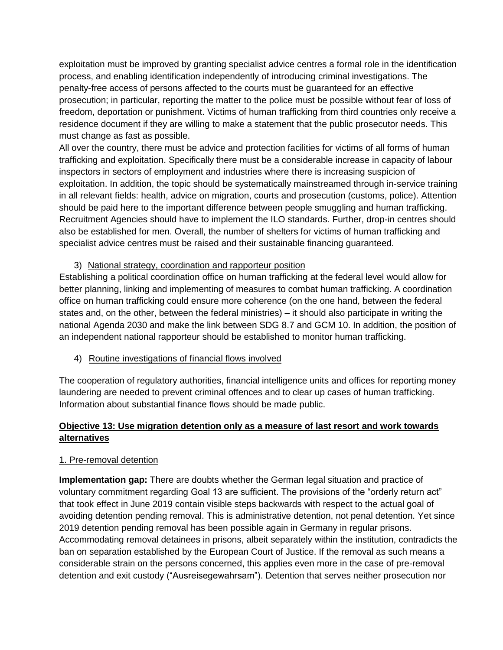exploitation must be improved by granting specialist advice centres a formal role in the identification process, and enabling identification independently of introducing criminal investigations. The penalty-free access of persons affected to the courts must be guaranteed for an effective prosecution; in particular, reporting the matter to the police must be possible without fear of loss of freedom, deportation or punishment. Victims of human trafficking from third countries only receive a residence document if they are willing to make a statement that the public prosecutor needs. This must change as fast as possible.

All over the country, there must be advice and protection facilities for victims of all forms of human trafficking and exploitation. Specifically there must be a considerable increase in capacity of labour inspectors in sectors of employment and industries where there is increasing suspicion of exploitation. In addition, the topic should be systematically mainstreamed through in-service training in all relevant fields: health, advice on migration, courts and prosecution (customs, police). Attention should be paid here to the important difference between people smuggling and human trafficking. Recruitment Agencies should have to implement the ILO standards. Further, drop-in centres should also be established for men. Overall, the number of shelters for victims of human trafficking and specialist advice centres must be raised and their sustainable financing guaranteed.

#### 3) National strategy, coordination and rapporteur position

Establishing a political coordination office on human trafficking at the federal level would allow for better planning, linking and implementing of measures to combat human trafficking. A coordination office on human trafficking could ensure more coherence (on the one hand, between the federal states and, on the other, between the federal ministries) – it should also participate in writing the national Agenda 2030 and make the link between SDG 8.7 and GCM 10. In addition, the position of an independent national rapporteur should be established to monitor human trafficking.

4) Routine investigations of financial flows involved

The cooperation of regulatory authorities, financial intelligence units and offices for reporting money laundering are needed to prevent criminal offences and to clear up cases of human trafficking. Information about substantial finance flows should be made public.

# **Objective 13: Use migration detention only as a measure of last resort and work towards alternatives**

#### 1. Pre-removal detention

**Implementation gap:** There are doubts whether the German legal situation and practice of voluntary commitment regarding Goal 13 are sufficient. The provisions of the "orderly return act" that took effect in June 2019 contain visible steps backwards with respect to the actual goal of avoiding detention pending removal. This is administrative detention, not penal detention. Yet since 2019 detention pending removal has been possible again in Germany in regular prisons. Accommodating removal detainees in prisons, albeit separately within the institution, contradicts the ban on separation established by the European Court of Justice. If the removal as such means a considerable strain on the persons concerned, this applies even more in the case of pre-removal detention and exit custody ("Ausreisegewahrsam"). Detention that serves neither prosecution nor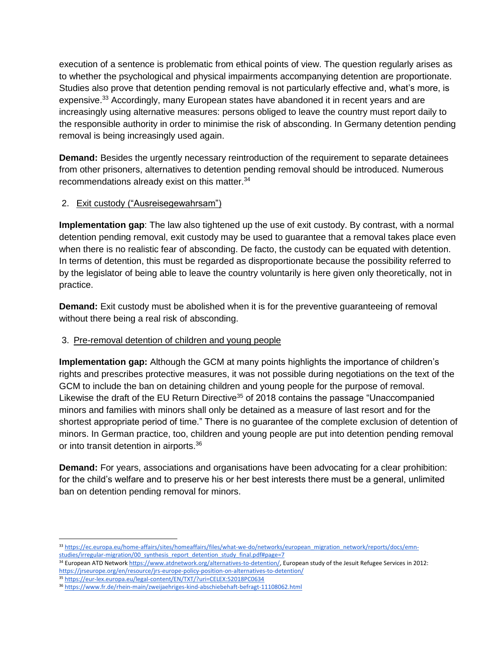execution of a sentence is problematic from ethical points of view. The question regularly arises as to whether the psychological and physical impairments accompanying detention are proportionate. Studies also prove that detention pending removal is not particularly effective and, what's more, is expensive.<sup>33</sup> Accordingly, many European states have abandoned it in recent years and are increasingly using alternative measures: persons obliged to leave the country must report daily to the responsible authority in order to minimise the risk of absconding. In Germany detention pending removal is being increasingly used again.

**Demand:** Besides the urgently necessary reintroduction of the requirement to separate detainees from other prisoners, alternatives to detention pending removal should be introduced. Numerous recommendations already exist on this matter.<sup>34</sup>

# 2. Exit custody ("Ausreisegewahrsam")

**Implementation gap**: The law also tightened up the use of exit custody. By contrast, with a normal detention pending removal, exit custody may be used to guarantee that a removal takes place even when there is no realistic fear of absconding. De facto, the custody can be equated with detention. In terms of detention, this must be regarded as disproportionate because the possibility referred to by the legislator of being able to leave the country voluntarily is here given only theoretically, not in practice.

**Demand:** Exit custody must be abolished when it is for the preventive guaranteeing of removal without there being a real risk of absconding.

#### 3. Pre-removal detention of children and young people

**Implementation gap:** Although the GCM at many points highlights the importance of children's rights and prescribes protective measures, it was not possible during negotiations on the text of the GCM to include the ban on detaining children and young people for the purpose of removal. Likewise the draft of the EU Return Directive<sup>35</sup> of 2018 contains the passage "Unaccompanied minors and families with minors shall only be detained as a measure of last resort and for the shortest appropriate period of time." There is no guarantee of the complete exclusion of detention of minors. In German practice, too, children and young people are put into detention pending removal or into transit detention in airports.<sup>36</sup>

**Demand:** For years, associations and organisations have been advocating for a clear prohibition: for the child's welfare and to preserve his or her best interests there must be a general, unlimited ban on detention pending removal for minors.

<sup>35</sup> <https://eur-lex.europa.eu/legal-content/EN/TXT/?uri=CELEX:52018PC0634>

<sup>33</sup> [https://ec.europa.eu/home-affairs/sites/homeaffairs/files/what-we-do/networks/european\\_migration\\_network/reports/docs/emn](https://ec.europa.eu/home-affairs/sites/homeaffairs/files/what-we-do/networks/european_migration_network/reports/docs/emn-studies/irregular-migration/00_synthesis_report_detention_study_final.pdf#page=7)studies/irregular-migration/00 synthesis report detention study final.pdf#page=7

<sup>&</sup>lt;sup>34</sup> European ATD Network [https://www.atdnetwork.org/alternatives-to-detention/,](https://www.atdnetwork.org/alternatives-to-detention/) European study of the Jesuit Refugee Services in 2012: <https://jrseurope.org/en/resource/jrs-europe-policy-position-on-alternatives-to-detention/>

<sup>36</sup> <https://www.fr.de/rhein-main/zweijaehriges-kind-abschiebehaft-befragt-11108062.html>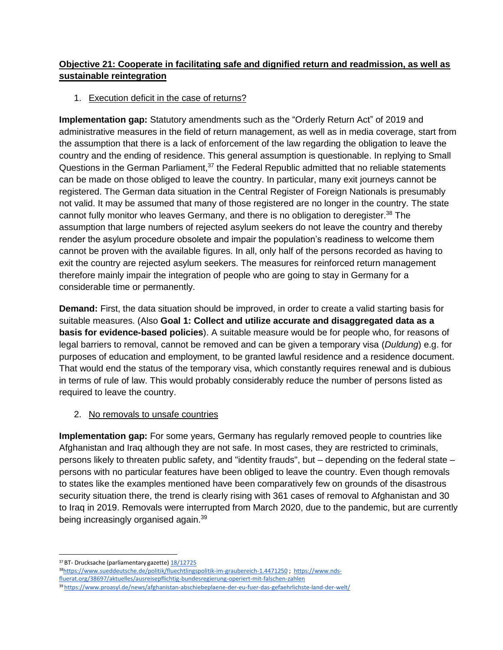# **Objective 21: Cooperate in facilitating safe and dignified return and readmission, as well as sustainable reintegration**

# 1. Execution deficit in the case of returns?

**Implementation gap:** Statutory amendments such as the "Orderly Return Act" of 2019 and administrative measures in the field of return management, as well as in media coverage, start from the assumption that there is a lack of enforcement of the law regarding the obligation to leave the country and the ending of residence. This general assumption is questionable. In replying to Small Questions in the German Parliament,<sup>37</sup> the Federal Republic admitted that no reliable statements can be made on those obliged to leave the country. In particular, many exit journeys cannot be registered. The German data situation in the Central Register of Foreign Nationals is presumably not valid. It may be assumed that many of those registered are no longer in the country. The state cannot fully monitor who leaves Germany, and there is no obligation to deregister.<sup>38</sup> The assumption that large numbers of rejected asylum seekers do not leave the country and thereby render the asylum procedure obsolete and impair the population's readiness to welcome them cannot be proven with the available figures. In all, only half of the persons recorded as having to exit the country are rejected asylum seekers. The measures for reinforced return management therefore mainly impair the integration of people who are going to stay in Germany for a considerable time or permanently.

**Demand:** First, the data situation should be improved, in order to create a valid starting basis for suitable measures. (Also **Goal 1: Collect and utilize accurate and disaggregated data as a basis for evidence-based policies**). A suitable measure would be for people who, for reasons of legal barriers to removal, cannot be removed and can be given a temporary visa (*Duldung*) e.g. for purposes of education and employment, to be granted lawful residence and a residence document. That would end the status of the temporary visa, which constantly requires renewal and is dubious in terms of rule of law. This would probably considerably reduce the number of persons listed as required to leave the country.

#### 2. No removals to unsafe countries

**Implementation gap:** For some years, Germany has regularly removed people to countries like Afghanistan and Iraq although they are not safe. In most cases, they are restricted to criminals, persons likely to threaten public safety, and "identity frauds", but – depending on the federal state – persons with no particular features have been obliged to leave the country. Even though removals to states like the examples mentioned have been comparatively few on grounds of the disastrous security situation there, the trend is clearly rising with 361 cases of removal to Afghanistan and 30 to Iraq in 2019. Removals were interrupted from March 2020, due to the pandemic, but are currently being increasingly organised again.<sup>39</sup>

 <sup>37</sup> BT- Drucksache (parliamentary gazette[\) 18/12725](https://dipbt.bundestag.de/doc/btd/18/127/1812725.pdf)

<sup>38</sup><https://www.sueddeutsche.de/politik/fluechtlingspolitik-im-graubereich-1.4471250>; [https://www.nds](https://www.nds-fluerat.org/38697/aktuelles/ausreisepflichtig-bundesregierung-operiert-mit-falschen-zahlen/)[fluerat.org/38697/aktuelles/ausreisepflichtig-bundesregierung-operiert-mit-falschen-zahlen](https://www.nds-fluerat.org/38697/aktuelles/ausreisepflichtig-bundesregierung-operiert-mit-falschen-zahlen/)

<sup>39</sup> <https://www.proasyl.de/news/afghanistan-abschiebeplaene-der-eu-fuer-das-gefaehrlichste-land-der-welt/>